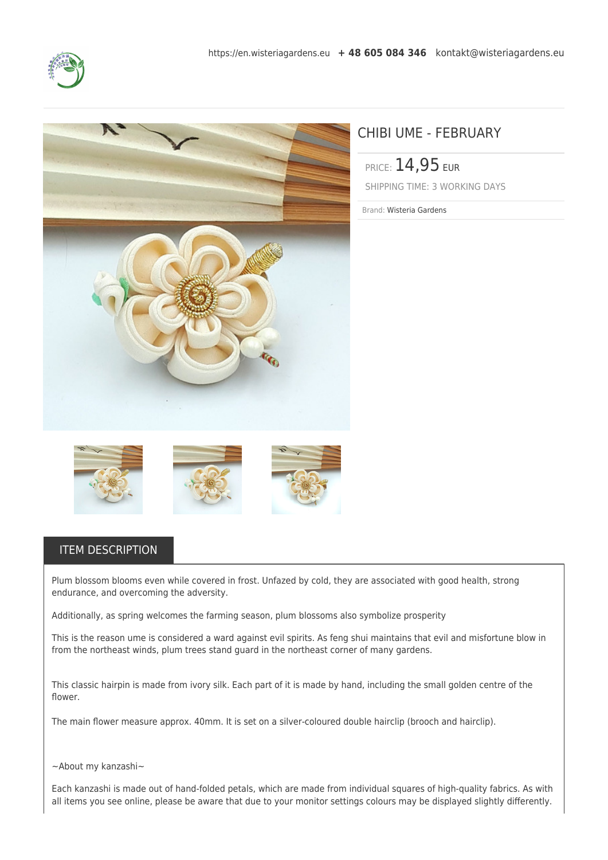



## CHIBI UME - FEBRUARY

PRICE: 14,95 EUR SHIPPING TIME: 3 WORKING DAYS

Brand: Wisteria Gardens



## ITEM DESCRIPTION

Plum blossom blooms even while covered in frost. Unfazed by cold, they are associated with good health, strong endurance, and overcoming the adversity.

Additionally, as spring welcomes the farming season, plum blossoms also symbolize prosperity

This is the reason ume is considered a ward against evil spirits. As feng shui maintains that evil and misfortune blow in from the northeast winds, plum trees stand guard in the northeast corner of many gardens.

This classic hairpin is made from ivory silk. Each part of it is made by hand, including the small golden centre of the flower.

The main flower measure approx. 40mm. It is set on a silver-coloured double hairclip (brooch and hairclip).

~About my kanzashi~

Each kanzashi is made out of hand-folded petals, which are made from individual squares of high-quality fabrics. As with all items you see online, please be aware that due to your monitor settings colours may be displayed slightly differently.